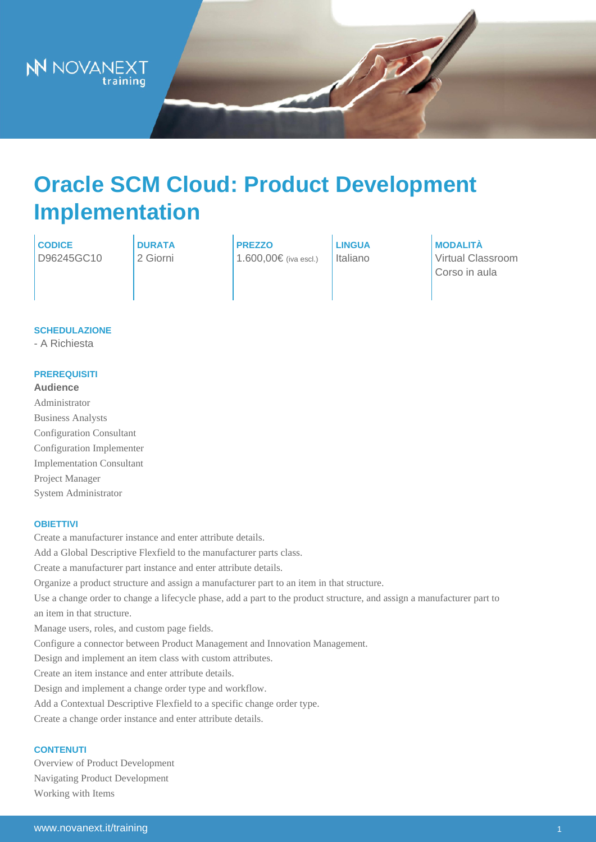# Oracle SCM Cloud: Product Development Implementation

CODICE D96245GC10 DURATA 2 Giorni

PREZZO 1.600,00€ (iva escl.)

LINGUA Italiano MODALITÀ Virtual Classroom Corso in aula

## **SCHEDULAZIONE**

- A Richiesta

## **PREREQUISITI**

Audience Administrator Business Analysts Configuration Consultant Configuration Implementer Implementation Consultant Project Manager System Administrator

#### **OBIETTIVI**

Create a manufacturer instance and enter attribute details. Add a Global Descriptive Flexfield to the manufacturer parts class. Create a manufacturer part instance and enter attribute details. Organize a product structure and assign a manufacturer part to an item in that structure. Use a change order to change a lifecycle phase, add a part to the product structure, and assign a manufacturer part to an item in that structure. Manage users, roles, and custom page fields. Configure a connector between Product Management and Innovation Management. Design and implement an item class with custom attributes. Create an item instance and enter attribute details. Design and implement a change order type and workflow. Add a Contextual Descriptive Flexfield to a specific change order type. Create a change order instance and enter attribute details.

## **CONTENUTI**

Overview of Product Development Navigating Product Development Working with Items